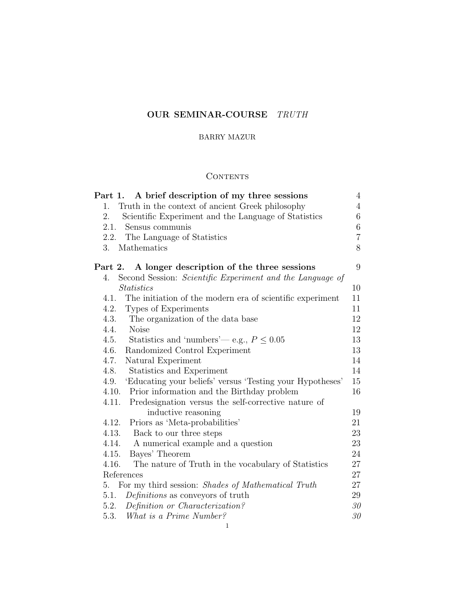# OUR SEMINAR-COURSE TRUTH

## BARRY MAZUR

# **CONTENTS**

| Part 1. A brief description of my three sessions                  | $\overline{4}$ |
|-------------------------------------------------------------------|----------------|
| Truth in the context of ancient Greek philosophy<br>1.            | $\overline{4}$ |
| 2.<br>Scientific Experiment and the Language of Statistics        | $6\,$          |
| 2.1.<br>Sensus communis                                           | $6\,$          |
| The Language of Statistics<br>2.2.                                | $\overline{7}$ |
| Mathematics<br>3.                                                 | 8              |
| Part 2. A longer description of the three sessions                | 9              |
| Second Session: Scientific Experiment and the Language of<br>4.   |                |
| <b>Statistics</b>                                                 | 10             |
| 4.1.<br>The initiation of the modern era of scientific experiment | 11             |
| 4.2.<br>Types of Experiments                                      | 11             |
| 4.3.<br>The organization of the data base                         | 12             |
| 4.4.<br><b>Noise</b>                                              | 12             |
| 4.5.<br>Statistics and 'numbers'— e.g., $P \leq 0.05$             | 13             |
| Randomized Control Experiment<br>4.6.                             | 13             |
| 4.7.<br>Natural Experiment                                        | 14             |
| 4.8.<br>Statistics and Experiment                                 | 14             |
| 'Educating your beliefs' versus 'Testing your Hypotheses'<br>4.9. | 15             |
| Prior information and the Birthday problem<br>4.10.               | 16             |
| 4.11.<br>Predesignation versus the self-corrective nature of      |                |
| inductive reasoning                                               | 19             |
| 4.12.<br>Priors as 'Meta-probabilities'                           | 21             |
| 4.13. Back to our three steps                                     | 23             |
| 4.14.<br>A numerical example and a question                       | 23             |
| Bayes' Theorem<br>4.15.                                           | 24             |
| 4.16.<br>The nature of Truth in the vocabulary of Statistics      | 27             |
| References                                                        | 27             |
| For my third session: <i>Shades of Mathematical Truth</i><br>5.   | 27             |
| <i>Definitions</i> as conveyors of truth<br>5.1.                  | 29             |
| Definition or Characterization?<br>5.2.                           | 30             |
| What is a Prime Number?<br>5.3.                                   | $\mathcal{S}0$ |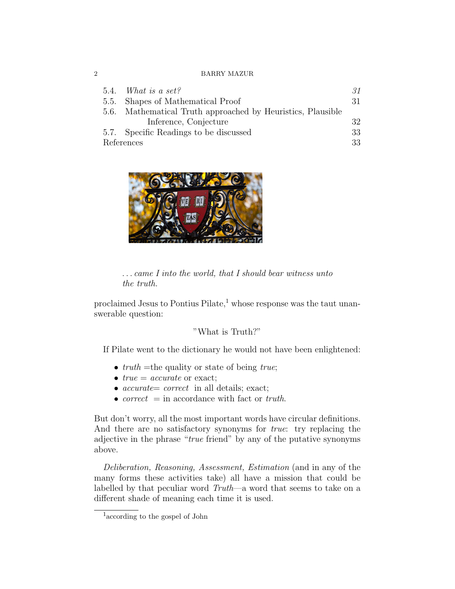|            | 5.4. What is a set?                                         | 31 |
|------------|-------------------------------------------------------------|----|
|            | 5.5. Shapes of Mathematical Proof                           | 31 |
|            | 5.6. Mathematical Truth approached by Heuristics, Plausible |    |
|            | Inference, Conjecture                                       | 32 |
|            | 5.7. Specific Readings to be discussed                      | 33 |
| References |                                                             | 33 |



. . . came I into the world, that I should bear witness unto the truth.

proclaimed Jesus to Pontius Pilate, $\frac{1}{2}$  whose response was the taut unanswerable question:

## "What is Truth?"

If Pilate went to the dictionary he would not have been enlightened:

- $truth =$  the quality or state of being *true*;
- $true = accurate \space or \space exact$ ;
- *accurate= correct* in all details; exact;
- correct  $=$  in accordance with fact or truth.

But don't worry, all the most important words have circular definitions. And there are no satisfactory synonyms for *true*: try replacing the adjective in the phrase "true friend" by any of the putative synonyms above.

Deliberation, Reasoning, Assessment, Estimation (and in any of the many forms these activities take) all have a mission that could be labelled by that peculiar word Truth—a word that seems to take on a different shade of meaning each time it is used.

<sup>1</sup> according to the gospel of John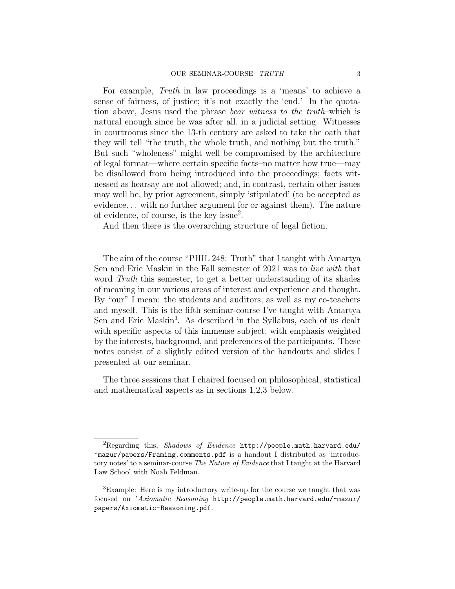For example, Truth in law proceedings is a 'means' to achieve a sense of fairness, of justice; it's not exactly the 'end.' In the quotation above, Jesus used the phrase bear witness to the truth–which is natural enough since he was after all, in a judicial setting. Witnesses in courtrooms since the 13-th century are asked to take the oath that they will tell "the truth, the whole truth, and nothing but the truth." But such "wholeness" might well be compromised by the architecture of legal format—where certain specific facts–no matter how true—may be disallowed from being introduced into the proceedings; facts witnessed as hearsay are not allowed; and, in contrast, certain other issues may well be, by prior agreement, simply 'stipulated' (to be accepted as evidence. . . with no further argument for or against them). The nature of evidence, of course, is the key issue<sup>2</sup>.

And then there is the overarching structure of legal fiction.

The aim of the course "PHIL 248: Truth" that I taught with Amartya Sen and Eric Maskin in the Fall semester of 2021 was to live with that word Truth this semester, to get a better understanding of its shades of meaning in our various areas of interest and experience and thought. By "our" I mean: the students and auditors, as well as my co-teachers and myself. This is the fifth seminar-course I've taught with Amartya Sen and Eric Maskin<sup>3</sup>. As described in the Syllabus, each of us dealt with specific aspects of this immense subject, with emphasis weighted by the interests, background, and preferences of the participants. These notes consist of a slightly edited version of the handouts and slides I presented at our seminar.

The three sessions that I chaired focused on philosophical, statistical and mathematical aspects as in sections 1,2,3 below.

 ${}^{2}$ Regarding this, Shadows of Evidence http://people.math.harvard.edu/ ~mazur/papers/Framing.comments.pdf is a handout I distributed as 'introductory notes' to a seminar-course The Nature of Evidence that I taught at the Harvard Law School with Noah Feldman.

<sup>&</sup>lt;sup>3</sup>Example: Here is my introductory write-up for the course we taught that was focused on 'Axiomatic Reasoning http://people.math.harvard.edu/~mazur/ papers/Axiomatic-Reasoning.pdf.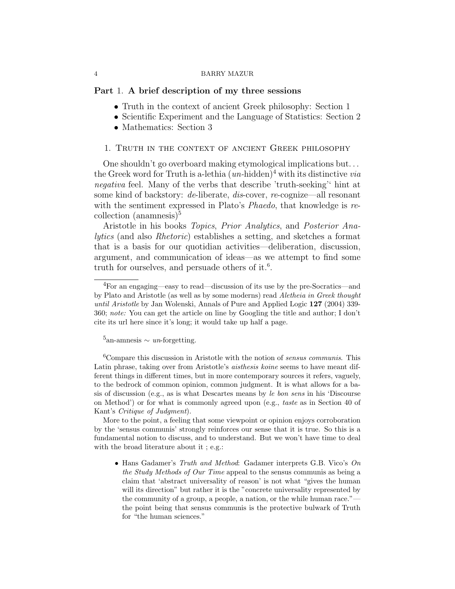## Part 1. A brief description of my three sessions

- Truth in the context of ancient Greek philosophy: Section 1
- Scientific Experiment and the Language of Statistics: Section 2
- Mathematics: Section 3

### 1. Truth in the context of ancient Greek philosophy

One shouldn't go overboard making etymological implications but. . . the Greek word for Truth is a-lethia  $(un$ -hidden)<sup>4</sup> with its distinctive *via* negativa feel. Many of the verbs that describe 'truth-seeking'' hint at some kind of backstory: de-liberate, dis-cover, re-cognize—all resonant with the sentiment expressed in Plato's *Phaedo*, that knowledge is recollection (anamnesis)<sup>5</sup>

Aristotle in his books Topics, Prior Analytics, and Posterior Analytics (and also Rhetoric) establishes a setting, and sketches a format that is a basis for our quotidian activities—deliberation, discussion, argument, and communication of ideas—as we attempt to find some truth for ourselves, and persuade others of it.<sup>6</sup>.

 $5<sup>5</sup>$ an-amnesis ∼ *un*-forgetting.

<sup>6</sup>Compare this discussion in Aristotle with the notion of *sensus communis*. This Latin phrase, taking over from Aristotle's aisthesis koine seems to have meant different things in different times, but in more contemporary sources it refers, vaguely, to the bedrock of common opinion, common judgment. It is what allows for a basis of discussion (e.g., as is what Descartes means by le bon sens in his 'Discourse on Method') or for what is commonly agreed upon (e.g., taste as in Section 40 of Kant's Critique of Judgment).

More to the point, a feeling that some viewpoint or opinion enjoys corroboration by the 'sensus communis' strongly reinforces our sense that it is true. So this is a fundamental notion to discuss, and to understand. But we won't have time to deal with the broad literature about it; e.g.:

• Hans Gadamer's Truth and Method: Gadamer interprets G.B. Vico's On the Study Methods of Our Time appeal to the sensus communis as being a claim that 'abstract universality of reason' is not what "gives the human will its direction" but rather it is the "concrete universality represented by the community of a group, a people, a nation, or the while human race." the point being that sensus communis is the protective bulwark of Truth for "the human sciences."

<sup>&</sup>lt;sup>4</sup>For an engaging—easy to read—discussion of its use by the pre-Socratics—and by Plato and Aristotle (as well as by some moderns) read Aletheia in Greek thought until Aristotle by Jan Wolenski, Annals of Pure and Applied Logic 127 (2004) 339- 360; note: You can get the article on line by Googling the title and author; I don't cite its url here since it's long; it would take up half a page.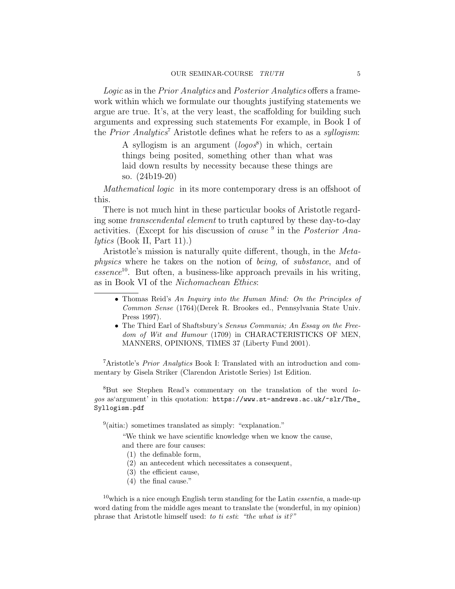Logic as in the Prior Analytics and Posterior Analytics offers a framework within which we formulate our thoughts justifying statements we argue are true. It's, at the very least, the scaffolding for building such arguments and expressing such statements For example, in Book I of the *Prior Analytics*<sup>7</sup> Aristotle defines what he refers to as a *syllogism*:

> A syllogism is an argument  $(logos^8)$  in which, certain things being posited, something other than what was laid down results by necessity because these things are so. (24b19-20)

Mathematical logic in its more contemporary dress is an offshoot of this.

There is not much hint in these particular books of Aristotle regarding some transcendental element to truth captured by these day-to-day activities. (Except for his discussion of *cause* <sup>9</sup> in the *Posterior Ana* $lytics$  (Book II, Part 11).)

Aristotle's mission is naturally quite different, though, in the Metaphysics where he takes on the notion of being, of substance, and of  $\emph{essence}^{10}$ . But often, a business-like approach prevails in his writing, as in Book VI of the Nichomachean Ethics:

- Thomas Reid's An Inquiry into the Human Mind: On the Principles of Common Sense (1764)(Derek R. Brookes ed., Pennsylvania State Univ. Press 1997).
- The Third Earl of Shaftsbury's Sensus Communis; An Essay on the Freedom of Wit and Humour (1709) in CHARACTERISTICKS OF MEN, MANNERS, OPINIONS, TIMES 37 (Liberty Fund 2001).

<sup>7</sup>Aristotle's *Prior Analytics* Book I: Translated with an introduction and commentary by Gisela Striker (Clarendon Aristotle Series) 1st Edition.

<sup>8</sup>But see Stephen Read's commentary on the translation of the word logos as'argument' in this quotation: https://www.st-andrews.ac.uk/~slr/The\_ Syllogism.pdf

<sup>9</sup>(aitia:) sometimes translated as simply: "explanation."

"We think we have scientific knowledge when we know the cause, and there are four causes:

- (1) the definable form,
- (2) an antecedent which necessitates a consequent,
- (3) the efficient cause,
- (4) the final cause."

<sup>10</sup>which is a nice enough English term standing for the Latin *essentia*, a made-up word dating from the middle ages meant to translate the (wonderful, in my opinion) phrase that Aristotle himself used: to ti esti: "the what is it?"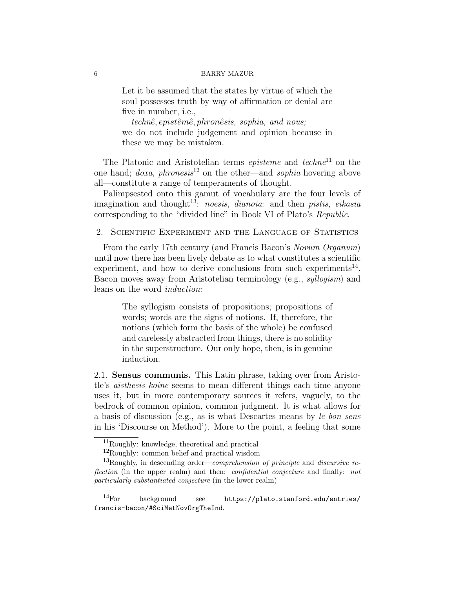Let it be assumed that the states by virtue of which the soul possesses truth by way of affirmation or denial are five in number, i.e.,

 $technê, epistêmê, phronêsis, sophia, and nous;$ we do not include judgement and opinion because in these we may be mistaken.

The Platonic and Aristotelian terms *episteme* and  $techne^{11}$  on the one hand; *doxa*, *phronesis*<sup>12</sup> on the other—and *sophia* hovering above all—constitute a range of temperaments of thought.

Palimpsested onto this gamut of vocabulary are the four levels of imagination and thought<sup>13</sup>: noesis, dianoia: and then pistis, eikasia corresponding to the "divided line" in Book VI of Plato's Republic.

### 2. Scientific Experiment and the Language of Statistics

From the early 17th century (and Francis Bacon's *Novum Organum*) until now there has been lively debate as to what constitutes a scientific experiment, and how to derive conclusions from such experiments<sup>14</sup>. Bacon moves away from Aristotelian terminology (e.g., syllogism) and leans on the word induction:

> The syllogism consists of propositions; propositions of words; words are the signs of notions. If, therefore, the notions (which form the basis of the whole) be confused and carelessly abstracted from things, there is no solidity in the superstructure. Our only hope, then, is in genuine induction.

2.1. Sensus communis. This Latin phrase, taking over from Aristotle's aisthesis koine seems to mean different things each time anyone uses it, but in more contemporary sources it refers, vaguely, to the bedrock of common opinion, common judgment. It is what allows for a basis of discussion (e.g., as is what Descartes means by le bon sens in his 'Discourse on Method'). More to the point, a feeling that some

 $^{14}$ For background see https://plato.stanford.edu/entries/ francis-bacon/#SciMetNovOrgTheInd.

<sup>11</sup>Roughly: knowledge, theoretical and practical

<sup>12</sup>Roughly: common belief and practical wisdom

 $^{13}$ Roughly, in descending order—*comprehension of principle* and *discursive re*flection (in the upper realm) and then: *confidential conjecture* and finally: *not* particularly substantiated conjecture (in the lower realm)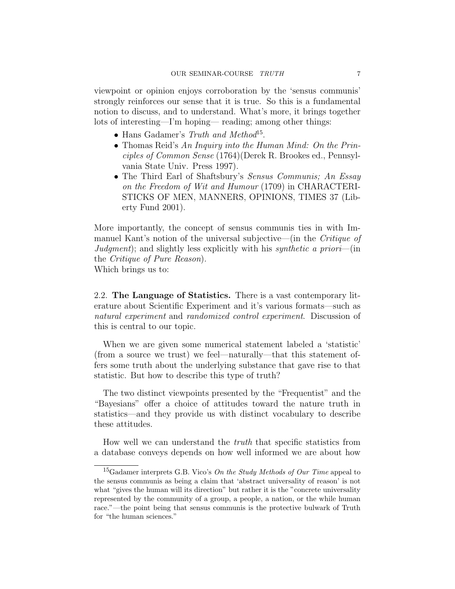viewpoint or opinion enjoys corroboration by the 'sensus communis' strongly reinforces our sense that it is true. So this is a fundamental notion to discuss, and to understand. What's more, it brings together lots of interesting—I'm hoping— reading; among other things:

- Hans Gadamer's Truth and Method<sup>15</sup>.
- Thomas Reid's An Inquiry into the Human Mind: On the Principles of Common Sense (1764)(Derek R. Brookes ed., Pennsylvania State Univ. Press 1997).
- The Third Earl of Shaftsbury's Sensus Communis; An Essay on the Freedom of Wit and Humour (1709) in CHARACTERI-STICKS OF MEN, MANNERS, OPINIONS, TIMES 37 (Liberty Fund 2001).

More importantly, the concept of sensus communis ties in with Immanuel Kant's notion of the universal subjective—(in the Critique of Judgment); and slightly less explicitly with his *synthetic a priori*—(in the Critique of Pure Reason). Which brings us to:

2.2. The Language of Statistics. There is a vast contemporary literature about Scientific Experiment and it's various formats—such as natural experiment and randomized control experiment. Discussion of this is central to our topic.

When we are given some numerical statement labeled a 'statistic' (from a source we trust) we feel—naturally—that this statement offers some truth about the underlying substance that gave rise to that statistic. But how to describe this type of truth?

The two distinct viewpoints presented by the "Frequentist" and the "Bayesians" offer a choice of attitudes toward the nature truth in statistics—and they provide us with distinct vocabulary to describe these attitudes.

How well we can understand the truth that specific statistics from a database conveys depends on how well informed we are about how

<sup>&</sup>lt;sup>15</sup>Gadamer interprets G.B. Vico's On the Study Methods of Our Time appeal to the sensus communis as being a claim that 'abstract universality of reason' is not what "gives the human will its direction" but rather it is the "concrete universality represented by the community of a group, a people, a nation, or the while human race."—the point being that sensus communis is the protective bulwark of Truth for "the human sciences."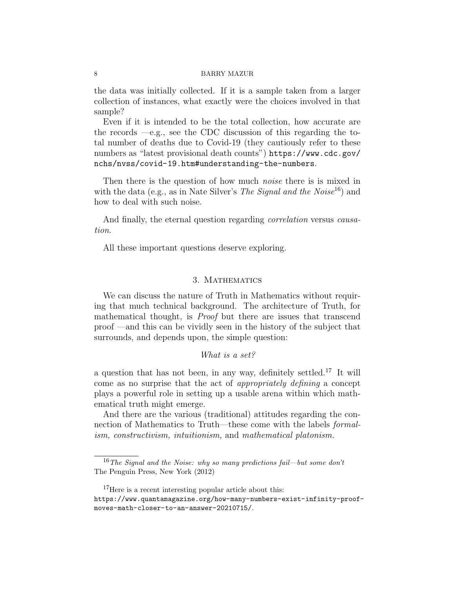the data was initially collected. If it is a sample taken from a larger collection of instances, what exactly were the choices involved in that sample?

Even if it is intended to be the total collection, how accurate are the records  $-e.g.,$  see the CDC discussion of this regarding the total number of deaths due to Covid-19 (they cautiously refer to these numbers as "latest provisional death counts") https://www.cdc.gov/ nchs/nvss/covid-19.htm#understanding-the-numbers.

Then there is the question of how much *noise* there is is mixed in with the data (e.g., as in Nate Silver's The Signal and the Noise<sup>16</sup>) and how to deal with such noise.

And finally, the eternal question regarding *correlation* versus *causa*tion.

All these important questions deserve exploring.

#### 3. MATHEMATICS

We can discuss the nature of Truth in Mathematics without requiring that much technical background. The architecture of Truth, for mathematical thought, is Proof but there are issues that transcend proof —and this can be vividly seen in the history of the subject that surrounds, and depends upon, the simple question:

## What is a set?

a question that has not been, in any way, definitely settled.<sup>17</sup> It will come as no surprise that the act of appropriately defining a concept plays a powerful role in setting up a usable arena within which mathematical truth might emerge.

And there are the various (traditional) attitudes regarding the connection of Mathematics to Truth—these come with the labels formalism, constructivism, intuitionism, and mathematical platonism.

 $16$ The Signal and the Noise: why so many predictions fail—but some don't The Penguin Press, New York (2012)

<sup>&</sup>lt;sup>17</sup>Here is a recent interesting popular article about this: https://www.quantamagazine.org/how-many-numbers-exist-infinity-proofmoves-math-closer-to-an-answer-20210715/.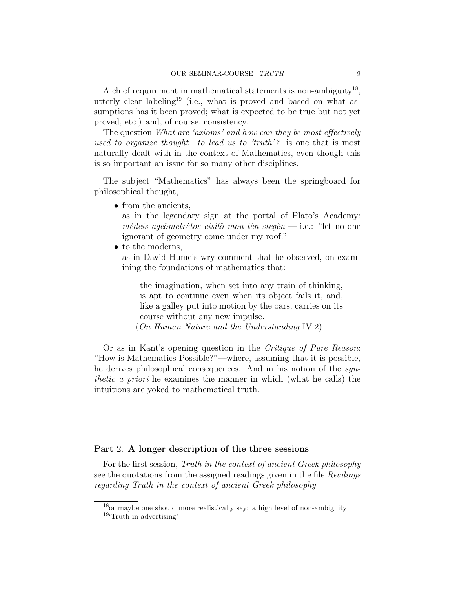A chief requirement in mathematical statements is non-ambiguity<sup>18</sup>, utterly clear labeling<sup>19</sup> (i.e., what is proved and based on what assumptions has it been proved; what is expected to be true but not yet proved, etc.) and, of course, consistency.

The question What are 'axioms' and how can they be most effectively used to organize thought—to lead us to 'truth'? is one that is most naturally dealt with in the context of Mathematics, even though this is so important an issue for so many other disciplines.

The subject "Mathematics" has always been the springboard for philosophical thought,

• from the ancients,

as in the legendary sign at the portal of Plato's Academy: mèdeis ageômetrètos eisitô mou tèn stegèn —-i.e.: "let no one ignorant of geometry come under my roof."

• to the moderns,

as in David Hume's wry comment that he observed, on examining the foundations of mathematics that:

the imagination, when set into any train of thinking, is apt to continue even when its object fails it, and, like a galley put into motion by the oars, carries on its course without any new impulse. (On Human Nature and the Understanding IV.2)

Or as in Kant's opening question in the Critique of Pure Reason: "How is Mathematics Possible?"—where, assuming that it is possible, he derives philosophical consequences. And in his notion of the synthetic a priori he examines the manner in which (what he calls) the intuitions are yoked to mathematical truth.

## Part 2. A longer description of the three sessions

For the first session, Truth in the context of ancient Greek philosophy see the quotations from the assigned readings given in the file Readings regarding Truth in the context of ancient Greek philosophy

<sup>18</sup>or maybe one should more realistically say: a high level of non-ambiguity  $19$ <sup>c</sup>Truth in advertising'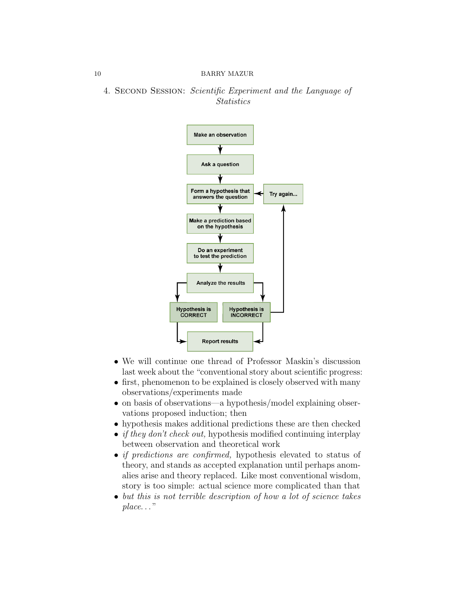4. Second Session: Scientific Experiment and the Language of Statistics



- We will continue one thread of Professor Maskin's discussion last week about the "conventional story about scientific progress:
- first, phenomenon to be explained is closely observed with many observations/experiments made
- on basis of observations—a hypothesis/model explaining observations proposed induction; then
- hypothesis makes additional predictions these are then checked
- *if they don't check out*, hypothesis modified continuing interplay between observation and theoretical work
- *if predictions are confirmed*, hypothesis elevated to status of theory, and stands as accepted explanation until perhaps anomalies arise and theory replaced. Like most conventional wisdom, story is too simple: actual science more complicated than that
- but this is not terrible description of how a lot of science takes  $place...$ "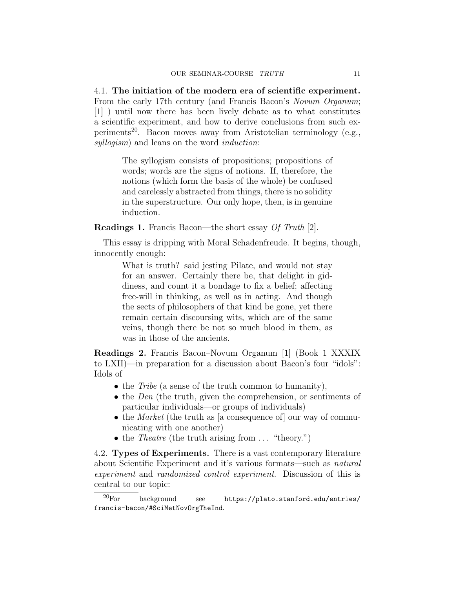4.1. The initiation of the modern era of scientific experiment. From the early 17th century (and Francis Bacon's *Novum Organum*; [1] ) until now there has been lively debate as to what constitutes a scientific experiment, and how to derive conclusions from such experiments<sup>20</sup>. Bacon moves away from Aristotelian terminology (e.g., syllogism) and leans on the word *induction*:

> The syllogism consists of propositions; propositions of words; words are the signs of notions. If, therefore, the notions (which form the basis of the whole) be confused and carelessly abstracted from things, there is no solidity in the superstructure. Our only hope, then, is in genuine induction.

Readings 1. Francis Bacon—the short essay Of Truth [2].

This essay is dripping with Moral Schadenfreude. It begins, though, innocently enough:

> What is truth? said jesting Pilate, and would not stay for an answer. Certainly there be, that delight in giddiness, and count it a bondage to fix a belief; affecting free-will in thinking, as well as in acting. And though the sects of philosophers of that kind be gone, yet there remain certain discoursing wits, which are of the same veins, though there be not so much blood in them, as was in those of the ancients.

Readings 2. Francis Bacon–Novum Organum [1] (Book 1 XXXIX to LXII)—in preparation for a discussion about Bacon's four "idols": Idols of

- the Tribe (a sense of the truth common to humanity),
- the *Den* (the truth, given the comprehension, or sentiments of particular individuals—or groups of individuals)
- the *Market* (the truth as [a consequence of] our way of communicating with one another)
- the *Theatre* (the truth arising from  $\dots$  "theory.")

4.2. Types of Experiments. There is a vast contemporary literature about Scientific Experiment and it's various formats—such as natural experiment and randomized control experiment. Discussion of this is central to our topic:

 $\label{eq:20} \begin{array}{lll} \text{20} \mathrm{For} \qquad & \text{background} \qquad \text{see} \qquad & \text{https://plato.stanford.edu/entries/} \end{array}$ francis-bacon/#SciMetNovOrgTheInd.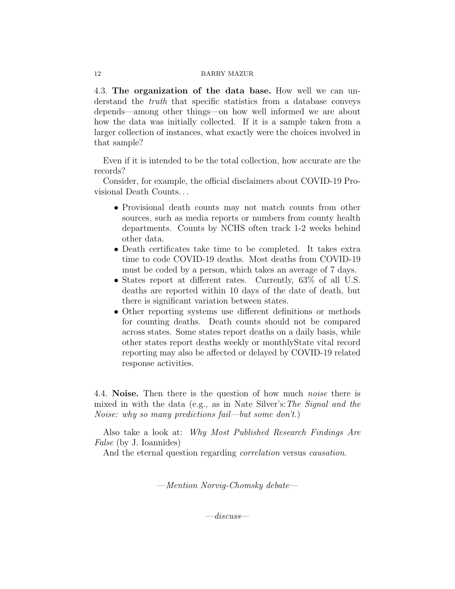4.3. The organization of the data base. How well we can understand the truth that specific statistics from a database conveys depends—among other things—on how well informed we are about how the data was initially collected. If it is a sample taken from a larger collection of instances, what exactly were the choices involved in that sample?

Even if it is intended to be the total collection, how accurate are the records?

Consider, for example, the official disclaimers about COVID-19 Provisional Death Counts. . .

- Provisional death counts may not match counts from other sources, such as media reports or numbers from county health departments. Counts by NCHS often track 1-2 weeks behind other data.
- Death certificates take time to be completed. It takes extra time to code COVID-19 deaths. Most deaths from COVID-19 must be coded by a person, which takes an average of 7 days.
- States report at different rates. Currently, 63\% of all U.S. deaths are reported within 10 days of the date of death, but there is significant variation between states.
- Other reporting systems use different definitions or methods for counting deaths. Death counts should not be compared across states. Some states report deaths on a daily basis, while other states report deaths weekly or monthlyState vital record reporting may also be affected or delayed by COVID-19 related response activities.

4.4. **Noise.** Then there is the question of how much *noise* there is mixed in with the data (e.g., as in Nate Silver's: The Signal and the Noise: why so many predictions fail—but some don't.)

Also take a look at: Why Most Published Research Findings Are False (by J. Ioannides)

And the eternal question regarding *correlation* versus *causation*.

—Mention Norvig-Chomsky debate—

 $-discuss-$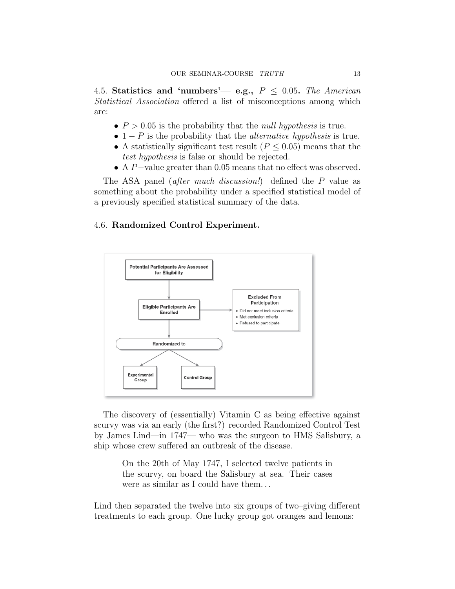4.5. Statistics and 'numbers'— e.g.,  $P \leq 0.05$ . The American Statistical Association offered a list of misconceptions among which are:

- $P > 0.05$  is the probability that the *null hypothesis* is true.
- $1 P$  is the probability that the *alternative hypothesis* is true.
- A statistically significant test result ( $P \leq 0.05$ ) means that the test hypothesis is false or should be rejected.
- A P−value greater than 0.05 means that no effect was observed.

The ASA panel (*after much discussion!*) defined the  $P$  value as something about the probability under a specified statistical model of a previously specified statistical summary of the data.

## 4.6. Randomized Control Experiment.



The discovery of (essentially) Vitamin C as being effective against scurvy was via an early (the first?) recorded Randomized Control Test by James Lind—in 1747— who was the surgeon to HMS Salisbury, a ship whose crew suffered an outbreak of the disease.

> On the 20th of May 1747, I selected twelve patients in the scurvy, on board the Salisbury at sea. Their cases were as similar as I could have them. . .

Lind then separated the twelve into six groups of two–giving different treatments to each group. One lucky group got oranges and lemons: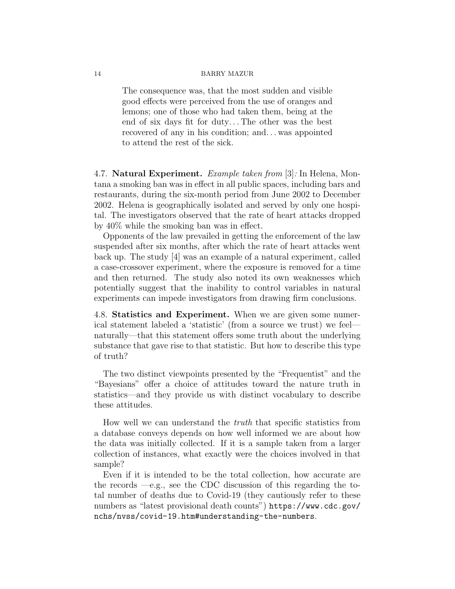The consequence was, that the most sudden and visible good effects were perceived from the use of oranges and lemons; one of those who had taken them, being at the end of six days fit for duty...The other was the best recovered of any in his condition; and. . . was appointed to attend the rest of the sick.

4.7. Natural Experiment. Example taken from [3]: In Helena, Montana a smoking ban was in effect in all public spaces, including bars and restaurants, during the six-month period from June 2002 to December 2002. Helena is geographically isolated and served by only one hospital. The investigators observed that the rate of heart attacks dropped by 40% while the smoking ban was in effect.

Opponents of the law prevailed in getting the enforcement of the law suspended after six months, after which the rate of heart attacks went back up. The study [4] was an example of a natural experiment, called a case-crossover experiment, where the exposure is removed for a time and then returned. The study also noted its own weaknesses which potentially suggest that the inability to control variables in natural experiments can impede investigators from drawing firm conclusions.

4.8. Statistics and Experiment. When we are given some numerical statement labeled a 'statistic' (from a source we trust) we feel naturally—that this statement offers some truth about the underlying substance that gave rise to that statistic. But how to describe this type of truth?

The two distinct viewpoints presented by the "Frequentist" and the "Bayesians" offer a choice of attitudes toward the nature truth in statistics—and they provide us with distinct vocabulary to describe these attitudes.

How well we can understand the truth that specific statistics from a database conveys depends on how well informed we are about how the data was initially collected. If it is a sample taken from a larger collection of instances, what exactly were the choices involved in that sample?

Even if it is intended to be the total collection, how accurate are the records  $-e.g.,$  see the CDC discussion of this regarding the total number of deaths due to Covid-19 (they cautiously refer to these numbers as "latest provisional death counts") https://www.cdc.gov/ nchs/nvss/covid-19.htm#understanding-the-numbers.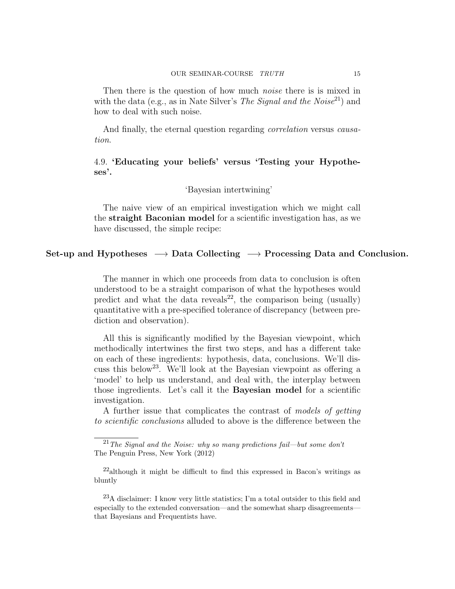Then there is the question of how much *noise* there is is mixed in with the data (e.g., as in Nate Silver's The Signal and the Noise<sup>21</sup>) and how to deal with such noise.

And finally, the eternal question regarding *correlation* versus *causa*tion.

4.9. 'Educating your beliefs' versus 'Testing your Hypotheses'.

'Bayesian intertwining'

The naive view of an empirical investigation which we might call the straight Baconian model for a scientific investigation has, as we have discussed, the simple recipe:

## Set-up and Hypotheses  $\rightarrow$  Data Collecting  $\rightarrow$  Processing Data and Conclusion.

The manner in which one proceeds from data to conclusion is often understood to be a straight comparison of what the hypotheses would predict and what the data reveals<sup>22</sup>, the comparison being (usually) quantitative with a pre-specified tolerance of discrepancy (between prediction and observation).

All this is significantly modified by the Bayesian viewpoint, which methodically intertwines the first two steps, and has a different take on each of these ingredients: hypothesis, data, conclusions. We'll discuss this below<sup>23</sup>. We'll look at the Bayesian viewpoint as offering a 'model' to help us understand, and deal with, the interplay between those ingredients. Let's call it the Bayesian model for a scientific investigation.

A further issue that complicates the contrast of models of getting to scientific conclusions alluded to above is the difference between the

 $^{21}$ The Signal and the Noise: why so many predictions fail—but some don't The Penguin Press, New York (2012)

 $^{22}$ although it might be difficult to find this expressed in Bacon's writings as bluntly

<sup>23</sup>A disclaimer: I know very little statistics; I'm a total outsider to this field and especially to the extended conversation—and the somewhat sharp disagreements that Bayesians and Frequentists have.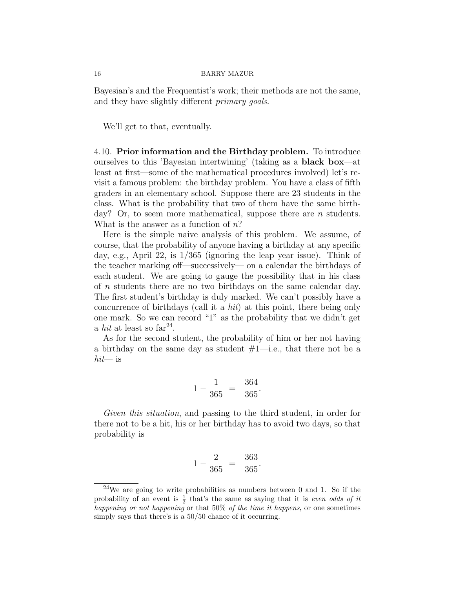Bayesian's and the Frequentist's work; their methods are not the same, and they have slightly different primary goals.

We'll get to that, eventually.

4.10. Prior information and the Birthday problem. To introduce ourselves to this 'Bayesian intertwining' (taking as a black box—at least at first—some of the mathematical procedures involved) let's revisit a famous problem: the birthday problem. You have a class of fifth graders in an elementary school. Suppose there are 23 students in the class. What is the probability that two of them have the same birthday? Or, to seem more mathematical, suppose there are *n* students. What is the answer as a function of  $n$ ?

Here is the simple naive analysis of this problem. We assume, of course, that the probability of anyone having a birthday at any specific day, e.g., April 22, is 1/365 (ignoring the leap year issue). Think of the teacher marking off—successively— on a calendar the birthdays of each student. We are going to gauge the possibility that in his class of n students there are no two birthdays on the same calendar day. The first student's birthday is duly marked. We can't possibly have a concurrence of birthdays (call it a hit) at this point, there being only one mark. So we can record "1" as the probability that we didn't get a *hit* at least so  $far^{24}$ .

As for the second student, the probability of him or her not having a birthday on the same day as student  $#1$ —i.e., that there not be a  $hit$ — is

$$
1 - \frac{1}{365} = \frac{364}{365}.
$$

Given this situation, and passing to the third student, in order for there not to be a hit, his or her birthday has to avoid two days, so that probability is

$$
1 - \frac{2}{365} = \frac{363}{365}.
$$

 $^{24}$ We are going to write probabilities as numbers between 0 and 1. So if the probability of an event is  $\frac{1}{2}$  that's the same as saying that it is *even odds of it* happening or not happening or that 50% of the time it happens, or one sometimes simply says that there's is a  $50/50$  chance of it occurring.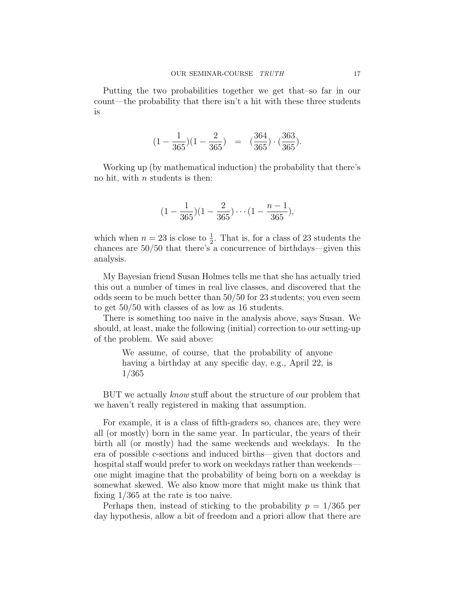Putting the two probabilities together we get that–so far in our count—the probability that there isn't a hit with these three students is

$$
(1 - \frac{1}{365})(1 - \frac{2}{365}) = (\frac{364}{365}) \cdot (\frac{363}{365}).
$$

Working up (by mathematical induction) the probability that there's no hit, with  $n$  students is then:

$$
(1 - \frac{1}{365})(1 - \frac{2}{365}) \cdots (1 - \frac{n-1}{365}),
$$

which when  $n = 23$  is close to  $\frac{1}{2}$ . That is, for a class of 23 students the chances are 50/50 that there's a concurrence of birthdays—given this analysis.

My Bayesian friend Susan Holmes tells me that she has actually tried this out a number of times in real live classes, and discovered that the odds seem to be much better than 50/50 for 23 students; you even seem to get 50/50 with classes of as low as 16 students.

There is something too naive in the analysis above, says Susan. We should, at least, make the following (initial) correction to our setting-up of the problem. We said above:

> We assume, of course, that the probability of anyone having a birthday at any specific day, e.g., April 22, is 1/365

BUT we actually know stuff about the structure of our problem that we haven't really registered in making that assumption.

For example, it is a class of fifth-graders so, chances are, they were all (or mostly) born in the same year. In particular, the years of their birth all (or mostly) had the same weekends and weekdays. In the era of possible c-sections and induced births—given that doctors and hospital staff would prefer to work on weekdays rather than weekends one might imagine that the probability of being born on a weekday is somewhat skewed. We also know more that might make us think that fixing 1/365 at the rate is too naive.

Perhaps then, instead of sticking to the probability  $p = 1/365$  per day hypothesis, allow a bit of freedom and a priori allow that there are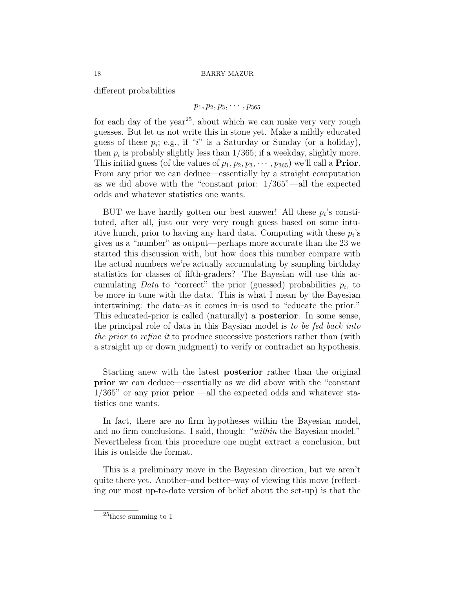different probabilities

## $p_1, p_2, p_3, \cdots, p_{365}$

for each day of the year<sup>25</sup>, about which we can make very very rough guesses. But let us not write this in stone yet. Make a mildly educated guess of these  $p_i$ ; e.g., if "i" is a Saturday or Sunday (or a holiday), then  $p_i$  is probably slightly less than  $1/365$ ; if a weekday, slightly more. This initial guess (of the values of  $p_1, p_2, p_3, \cdots, p_{365}$ ) we'll call a **Prior**. From any prior we can deduce—essentially by a straight computation as we did above with the "constant prior: 1/365"—all the expected odds and whatever statistics one wants.

BUT we have hardly gotten our best answer! All these  $p_i$ 's constituted, after all, just our very very rough guess based on some intuitive hunch, prior to having any hard data. Computing with these  $p_i$ 's gives us a "number" as output—perhaps more accurate than the 23 we started this discussion with, but how does this number compare with the actual numbers we're actually accumulating by sampling birthday statistics for classes of fifth-graders? The Bayesian will use this accumulating Data to "correct" the prior (guessed) probabilities  $p_i$ , to be more in tune with the data. This is what I mean by the Bayesian intertwining: the data–as it comes in–is used to "educate the prior." This educated-prior is called (naturally) a posterior. In some sense, the principal role of data in this Baysian model is to be fed back into the prior to refine it to produce successive posteriors rather than (with a straight up or down judgment) to verify or contradict an hypothesis.

Starting anew with the latest posterior rather than the original prior we can deduce—essentially as we did above with the "constant  $1/365$ " or any prior **prior** —all the expected odds and whatever statistics one wants.

In fact, there are no firm hypotheses within the Bayesian model, and no firm conclusions. I said, though: "within the Bayesian model." Nevertheless from this procedure one might extract a conclusion, but this is outside the format.

This is a preliminary move in the Bayesian direction, but we aren't quite there yet. Another–and better–way of viewing this move (reflecting our most up-to-date version of belief about the set-up) is that the

 $25$ <sub>these</sub> summing to 1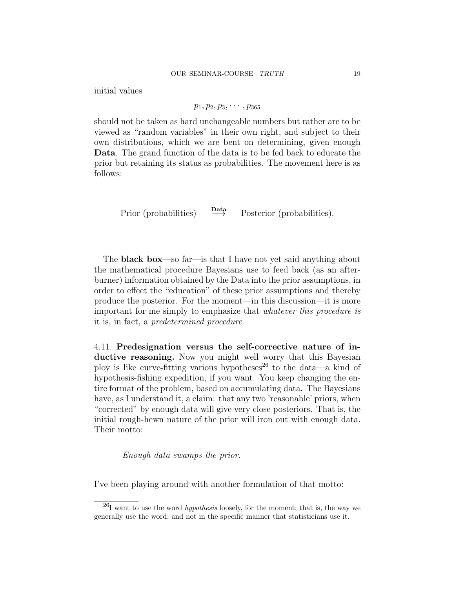initial values

$$
p_1, p_2, p_3, \cdots, p_{365}
$$

should not be taken as hard unchangeable numbers but rather are to be viewed as "random variables" in their own right, and subject to their own distributions, which we are bent on determining, given enough Data. The grand function of the data is to be fed back to educate the prior but retaining its status as probabilities. The movement here is as follows:

Prior (probabilities)  $\frac{\text{Data}}{\rightarrow}$ Posterior (probabilities).

The **black** box—so far—is that I have not yet said anything about the mathematical procedure Bayesians use to feed back (as an afterburner) information obtained by the Data into the prior assumptions, in order to effect the "education" of these prior assumptions and thereby produce the posterior. For the moment—in this discussion—it is more important for me simply to emphasize that whatever this procedure is it is, in fact, a predetermined procedure.

4.11. Predesignation versus the self-corrective nature of inductive reasoning. Now you might well worry that this Bayesian ploy is like curve-fitting various hypotheses<sup>26</sup> to the data—a kind of hypothesis-fishing expedition, if you want. You keep changing the entire format of the problem, based on accumulating data. The Bayesians have, as I understand it, a claim: that any two 'reasonable' priors, when "corrected" by enough data will give very close posteriors. That is, the initial rough-hewn nature of the prior will iron out with enough data. Their motto:

Enough data swamps the prior.

I've been playing around with another formulation of that motto:

 $^{26}{\rm I}$  want to use the word *hypothesis* loosely, for the moment; that is, the way we generally use the word; and not in the specific manner that statisticians use it.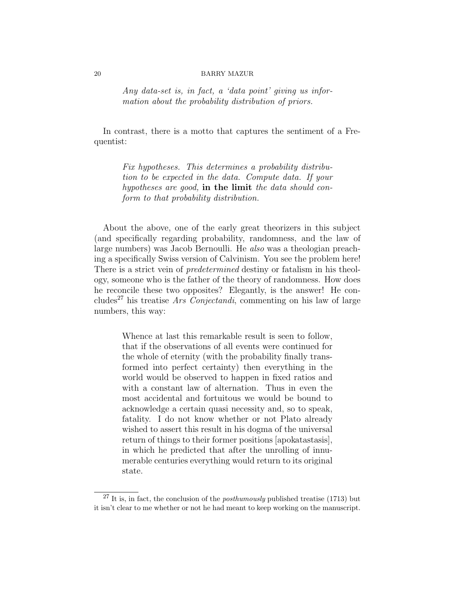Any data-set is, in fact, a 'data point' giving us information about the probability distribution of priors.

In contrast, there is a motto that captures the sentiment of a Frequentist:

> Fix hypotheses. This determines a probability distribution to be expected in the data. Compute data. If your hypotheses are good, in the limit the data should conform to that probability distribution.

About the above, one of the early great theorizers in this subject (and specifically regarding probability, randomness, and the law of large numbers) was Jacob Bernoulli. He also was a theologian preaching a specifically Swiss version of Calvinism. You see the problem here! There is a strict vein of *predetermined* destiny or fatalism in his theology, someone who is the father of the theory of randomness. How does he reconcile these two opposites? Elegantly, is the answer! He concludes<sup>27</sup> his treatise *Ars Conjectandi*, commenting on his law of large numbers, this way:

> Whence at last this remarkable result is seen to follow, that if the observations of all events were continued for the whole of eternity (with the probability finally transformed into perfect certainty) then everything in the world would be observed to happen in fixed ratios and with a constant law of alternation. Thus in even the most accidental and fortuitous we would be bound to acknowledge a certain quasi necessity and, so to speak, fatality. I do not know whether or not Plato already wished to assert this result in his dogma of the universal return of things to their former positions [apokatastasis], in which he predicted that after the unrolling of innumerable centuries everything would return to its original state.

 $27$  It is, in fact, the conclusion of the *posthumously* published treatise (1713) but it isn't clear to me whether or not he had meant to keep working on the manuscript.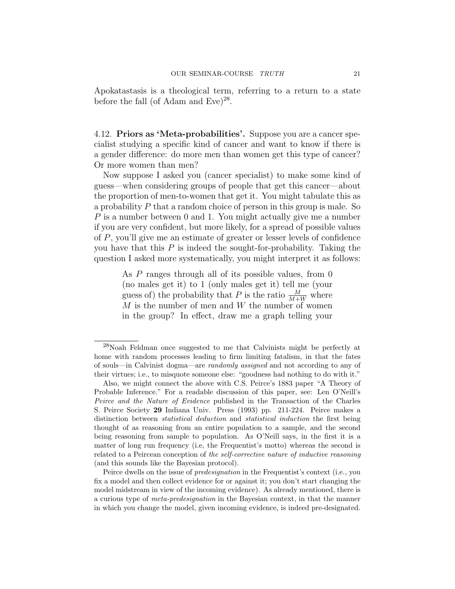Apokatastasis is a theological term, referring to a return to a state before the fall (of Adam and Eve) $^{28}$ .

4.12. Priors as 'Meta-probabilities'. Suppose you are a cancer specialist studying a specific kind of cancer and want to know if there is a gender difference: do more men than women get this type of cancer? Or more women than men?

Now suppose I asked you (cancer specialist) to make some kind of guess—when considering groups of people that get this cancer—about the proportion of men-to-women that get it. You might tabulate this as a probability P that a random choice of person in this group is male. So P is a number between 0 and 1. You might actually give me a number if you are very confident, but more likely, for a spread of possible values of P, you'll give me an estimate of greater or lesser levels of confidence you have that this  $P$  is indeed the sought-for-probability. Taking the question I asked more systematically, you might interpret it as follows:

> As P ranges through all of its possible values, from 0 (no males get it) to 1 (only males get it) tell me (your guess of) the probability that P is the ratio  $\frac{M}{M+W}$  where  $M$  is the number of men and  $W$  the number of women in the group? In effect, draw me a graph telling your

<sup>28</sup>Noah Feldman once suggested to me that Calvinists might be perfectly at home with random processes leading to firm limiting fatalism, in that the fates of souls—in Calvinist dogma—are randomly assigned and not according to any of their virtues; i.e., to misquote someone else: "goodness had nothing to do with it."

Also, we might connect the above with C.S. Peirce's 1883 paper "A Theory of Probable Inference." For a readable discussion of this paper, see: Len O'Neill's Peirce and the Nature of Evidence published in the Transaction of the Charles S. Peirce Society 29 Indiana Univ. Press (1993) pp. 211-224. Peirce makes a distinction between statistical deduction and statistical induction the first being thought of as reasoning from an entire population to a sample, and the second being reasoning from sample to population. As O'Neill says, in the first it is a matter of long run frequency (i.e, the Frequentist's motto) whereas the second is related to a Peircean conception of the self-corrective nature of inductive reasoning (and this sounds like the Bayesian protocol).

Peirce dwells on the issue of predesignation in the Frequentist's context (i.e., you fix a model and then collect evidence for or against it; you don't start changing the model midstream in view of the incoming evidence). As already mentioned, there is a curious type of meta-predesignation in the Bayesian context, in that the manner in which you change the model, given incoming evidence, is indeed pre-designated.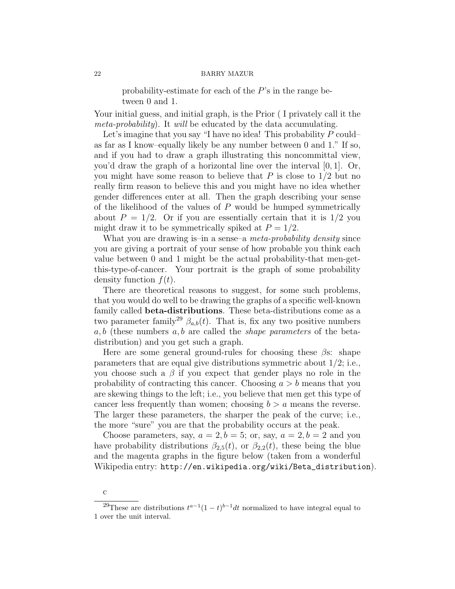probability-estimate for each of the P's in the range between 0 and 1.

Your initial guess, and initial graph, is the Prior ( I privately call it the meta-probability). It will be educated by the data accumulating.

Let's imagine that you say "I have no idea! This probability  $P$  could– as far as I know–equally likely be any number between 0 and 1." If so, and if you had to draw a graph illustrating this noncommittal view, you'd draw the graph of a horizontal line over the interval [0, 1]. Or, you might have some reason to believe that  $P$  is close to  $1/2$  but no really firm reason to believe this and you might have no idea whether gender differences enter at all. Then the graph describing your sense of the likelihood of the values of  $P$  would be humped symmetrically about  $P = 1/2$ . Or if you are essentially certain that it is  $1/2$  you might draw it to be symmetrically spiked at  $P = 1/2$ .

What you are drawing is–in a sense–a *meta-probability density* since you are giving a portrait of your sense of how probable you think each value between 0 and 1 might be the actual probability-that men-getthis-type-of-cancer. Your portrait is the graph of some probability density function  $f(t)$ .

There are theoretical reasons to suggest, for some such problems, that you would do well to be drawing the graphs of a specific well-known family called beta-distributions. These beta-distributions come as a two parameter family<sup>29</sup>  $\beta_{a,b}(t)$ . That is, fix any two positive numbers  $a, b$  (these numbers  $a, b$  are called the *shape parameters* of the betadistribution) and you get such a graph.

Here are some general ground-rules for choosing these  $\beta s$ : shape parameters that are equal give distributions symmetric about 1/2; i.e., you choose such a  $\beta$  if you expect that gender plays no role in the probability of contracting this cancer. Choosing  $a > b$  means that you are skewing things to the left; i.e., you believe that men get this type of cancer less frequently than women; choosing  $b > a$  means the reverse. The larger these parameters, the sharper the peak of the curve; i.e., the more "sure" you are that the probability occurs at the peak.

Choose parameters, say,  $a = 2, b = 5$ ; or, say,  $a = 2, b = 2$  and you have probability distributions  $\beta_{2,5}(t)$ , or  $\beta_{2,2}(t)$ , these being the blue and the magenta graphs in the figure below (taken from a wonderful Wikipedia entry: http://en.wikipedia.org/wiki/Beta\_distribution).

c

<sup>&</sup>lt;sup>29</sup>These are distributions  $t^{a-1}(1-t)^{b-1}dt$  normalized to have integral equal to 1 over the unit interval.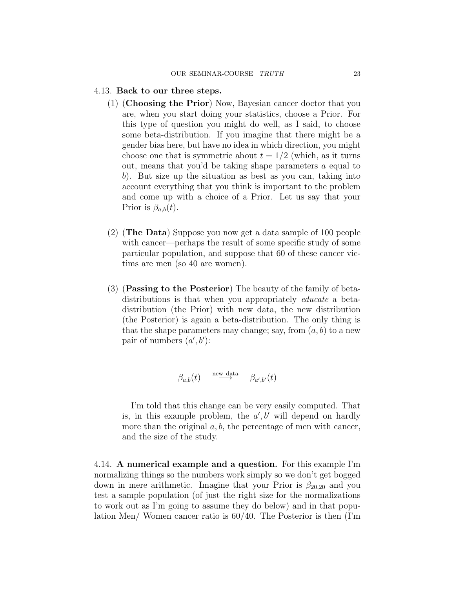## 4.13. Back to our three steps.

- (1) (Choosing the Prior) Now, Bayesian cancer doctor that you are, when you start doing your statistics, choose a Prior. For this type of question you might do well, as I said, to choose some beta-distribution. If you imagine that there might be a gender bias here, but have no idea in which direction, you might choose one that is symmetric about  $t = 1/2$  (which, as it turns out, means that you'd be taking shape parameters a equal to b). But size up the situation as best as you can, taking into account everything that you think is important to the problem and come up with a choice of a Prior. Let us say that your Prior is  $\beta_{a,b}(t)$ .
- (2) (The Data) Suppose you now get a data sample of 100 people with cancer—perhaps the result of some specific study of some particular population, and suppose that 60 of these cancer victims are men (so 40 are women).
- (3) (Passing to the Posterior) The beauty of the family of betadistributions is that when you appropriately *educate* a betadistribution (the Prior) with new data, the new distribution (the Posterior) is again a beta-distribution. The only thing is that the shape parameters may change; say, from  $(a, b)$  to a new pair of numbers  $(a', b')$ :

$$
\beta_{a,b}(t) \quad \stackrel{\text{new data}}{\longrightarrow} \quad \beta_{a',b'}(t)
$$

I'm told that this change can be very easily computed. That is, in this example problem, the  $a', b'$  will depend on hardly more than the original  $a, b$ , the percentage of men with cancer, and the size of the study.

4.14. A numerical example and a question. For this example I'm normalizing things so the numbers work simply so we don't get bogged down in mere arithmetic. Imagine that your Prior is  $\beta_{20,20}$  and you test a sample population (of just the right size for the normalizations to work out as I'm going to assume they do below) and in that population Men/ Women cancer ratio is 60/40. The Posterior is then (I'm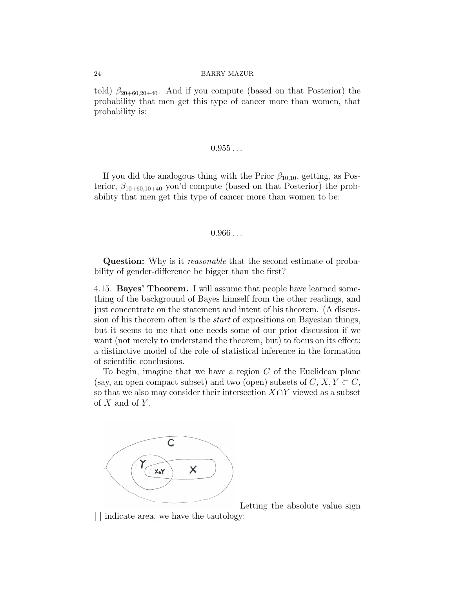told)  $\beta_{20+60,20+40}$ . And if you compute (based on that Posterior) the probability that men get this type of cancer more than women, that probability is:

## $0.955...$

If you did the analogous thing with the Prior  $\beta_{10,10}$ , getting, as Posterior,  $\beta_{10+60,10+40}$  you'd compute (based on that Posterior) the probability that men get this type of cancer more than women to be:

## $0.966...$

**Question:** Why is it *reasonable* that the second estimate of probability of gender-difference be bigger than the first?

4.15. Bayes' Theorem. I will assume that people have learned something of the background of Bayes himself from the other readings, and just concentrate on the statement and intent of his theorem. (A discussion of his theorem often is the start of expositions on Bayesian things, but it seems to me that one needs some of our prior discussion if we want (not merely to understand the theorem, but) to focus on its effect: a distinctive model of the role of statistical inference in the formation of scientific conclusions.

To begin, imagine that we have a region  $C$  of the Euclidean plane (say, an open compact subset) and two (open) subsets of  $C, X, Y \subset C$ , so that we also may consider their intersection  $X \cap Y$  viewed as a subset of  $X$  and of  $Y$ .



Letting the absolute value sign | | indicate area, we have the tautology: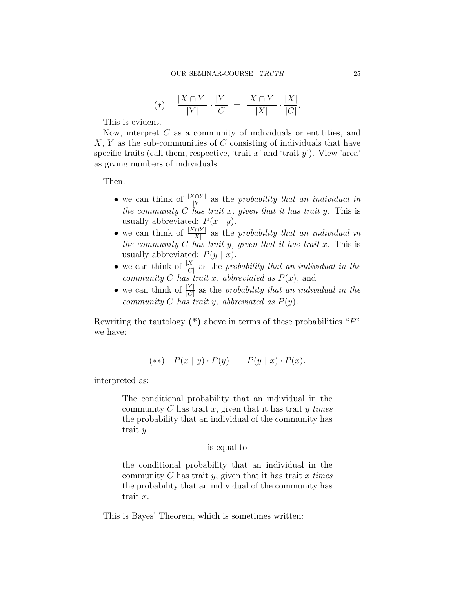(\*) 
$$
\frac{|X \cap Y|}{|Y|} \cdot \frac{|Y|}{|C|} = \frac{|X \cap Y|}{|X|} \cdot \frac{|X|}{|C|}.
$$

This is evident.

Now, interpret  $C$  as a community of individuals or entitities, and  $X, Y$  as the sub-communities of C consisting of individuals that have specific traits (call them, respective, 'trait  $x$ ' and 'trait  $y'$ ). View 'area' as giving numbers of individuals.

Then:

- we can think of  $\frac{|X \cap Y|}{|Y|}$  as the probability that an individual in the community  $C$  has trait  $x$ , given that it has trait  $y$ . This is usually abbreviated:  $P(x | y)$ .
- we can think of  $\frac{|X \cap Y|}{|X|}$  as the probability that an individual in the community  $C$  has trait  $y$ , given that it has trait  $x$ . This is usually abbreviated:  $P(y | x)$ .
- we can think of  $\frac{|X|}{|C|}$  as the probability that an individual in the community C has trait x, abbreviated as  $P(x)$ , and
- we can think of  $\frac{|Y|}{|C|}$  as the probability that an individual in the community C has trait y, abbreviated as  $P(y)$ .

Rewriting the tautology  $(*)$  above in terms of these probabilities "P" we have:

$$
(**) \quad P(x \mid y) \cdot P(y) \ = \ P(y \mid x) \cdot P(x).
$$

interpreted as:

The conditional probability that an individual in the community  $C$  has trait  $x$ , given that it has trait  $y$  times the probability that an individual of the community has trait y

## is equal to

the conditional probability that an individual in the community  $C$  has trait  $y$ , given that it has trait  $x$  times the probability that an individual of the community has trait x.

This is Bayes' Theorem, which is sometimes written: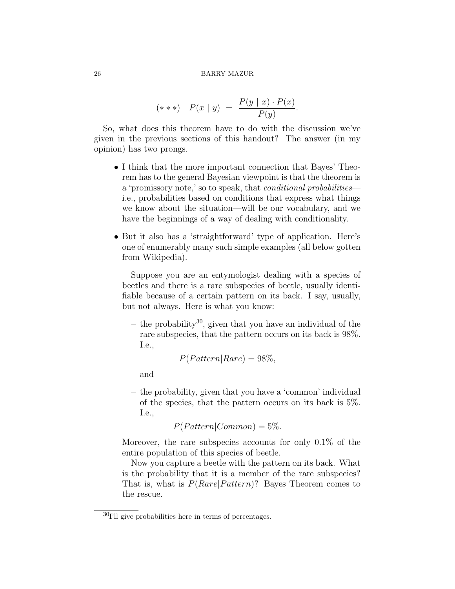$$
(***) \quad P(x \mid y) = \frac{P(y \mid x) \cdot P(x)}{P(y)}.
$$

So, what does this theorem have to do with the discussion we've given in the previous sections of this handout? The answer (in my opinion) has two prongs.

- I think that the more important connection that Bayes' Theorem has to the general Bayesian viewpoint is that the theorem is a 'promissory note,' so to speak, that conditional probabilities i.e., probabilities based on conditions that express what things we know about the situation—will be our vocabulary, and we have the beginnings of a way of dealing with conditionality.
- But it also has a 'straightforward' type of application. Here's one of enumerably many such simple examples (all below gotten from Wikipedia).

Suppose you are an entymologist dealing with a species of beetles and there is a rare subspecies of beetle, usually identifiable because of a certain pattern on its back. I say, usually, but not always. Here is what you know:

– the probability<sup>30</sup>, given that you have an individual of the rare subspecies, that the pattern occurs on its back is 98%. I.e.,

$$
P(Pattern|Rare) = 98\%,
$$

and

– the probability, given that you have a 'common' individual of the species, that the pattern occurs on its back is 5%. I.e.,

$$
P(Pattern|Common) = 5\%.
$$

Moreover, the rare subspecies accounts for only 0.1% of the entire population of this species of beetle.

Now you capture a beetle with the pattern on its back. What is the probability that it is a member of the rare subspecies? That is, what is  $P(Rare|Pattern)$ ? Bayes Theorem comes to the rescue.

 $30$ I'll give probabilities here in terms of percentages.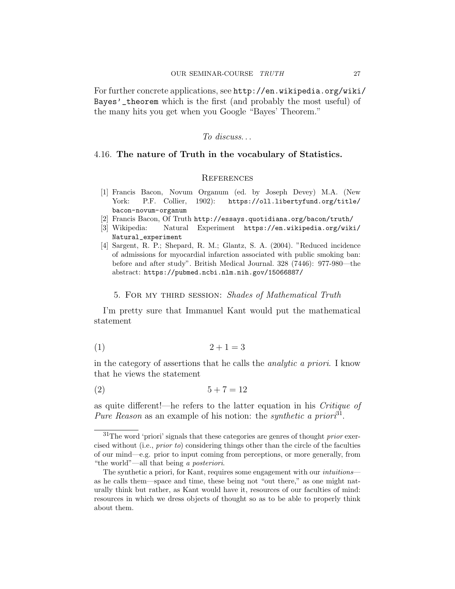For further concrete applications, see http://en.wikipedia.org/wiki/ Bayes'\_theorem which is the first (and probably the most useful) of the many hits you get when you Google "Bayes' Theorem."

To discuss. . .

#### 4.16. The nature of Truth in the vocabulary of Statistics.

## **REFERENCES**

- [1] Francis Bacon, Novum Organum (ed. by Joseph Devey) M.A. (New York: P.F. Collier, 1902): https://oll.libertyfund.org/title/ bacon-novum-organum
- [2] Francis Bacon, Of Truth http://essays.quotidiana.org/bacon/truth/
- [3] Wikipedia: Natural Experiment https://en.wikipedia.org/wiki/ Natural\_experiment
- [4] Sargent, R. P.; Shepard, R. M.; Glantz, S. A. (2004). "Reduced incidence of admissions for myocardial infarction associated with public smoking ban: before and after study". British Medical Journal. 328 (7446): 977-980—the abstract: https://pubmed.ncbi.nlm.nih.gov/15066887/

#### 5. For my third session: Shades of Mathematical Truth

I'm pretty sure that Immanuel Kant would put the mathematical statement

$$
(1) \qquad \qquad 2+1=3
$$

in the category of assertions that he calls the analytic a priori. I know that he views the statement

$$
(2) \qquad \qquad 5+7=12
$$

as quite different!—he refers to the latter equation in his Critique of Pure Reason as an example of his notion: the synthetic a priori<sup>31</sup>.

 $31$ The word 'priori' signals that these categories are genres of thought *prior* exercised without (i.e., prior to) considering things other than the circle of the faculties of our mind—e.g. prior to input coming from perceptions, or more generally, from "the world"—all that being a posteriori.

The synthetic a priori, for Kant, requires some engagement with our *intuitions* as he calls them—space and time, these being not "out there," as one might naturally think but rather, as Kant would have it, resources of our faculties of mind: resources in which we dress objects of thought so as to be able to properly think about them.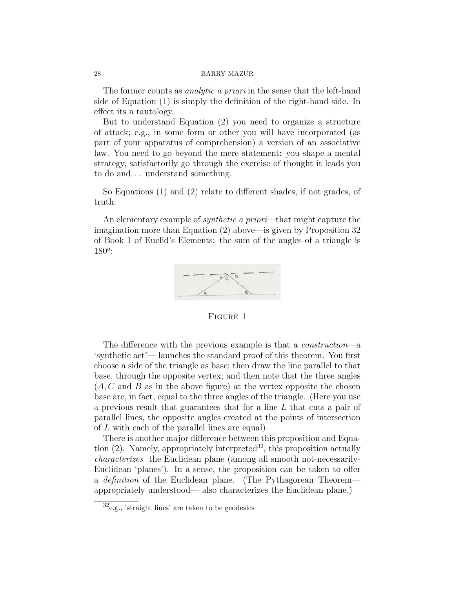The former counts as *analytic a priori* in the sense that the left-hand side of Equation (1) is simply the definition of the right-hand side. In effect its a tautology.

But to understand Equation (2) you need to organize a structure of attack; e.g., in some form or other you will have incorporated (as part of your apparatus of comprehension) a version of an associative law. You need to go beyond the mere statement: you shape a mental strategy, satisfactorily go through the exercise of thought it leads you to do and... understand something.

So Equations (1) and (2) relate to different shades, if not grades, of truth.

An elementary example of *synthetic a priori*—that might capture the imagination more than Equation (2) above—is given by Proposition 32 of Book 1 of Euclid's Elements: the sum of the angles of a triangle is  $180^o$ : k:<br>Palor<br>C



Figure 1

The difference with the previous example is that a *construction*—a 'synthetic act'— launches the standard proof of this theorem. You first choose a side of the triangle as base; then draw the line parallel to that base, through the opposite vertex; and then note that the three angles  $(A, C, C)$  and B as in the above figure) at the vertex opposite the chosen base are, in fact, equal to the three angles of the triangle. (Here you use a previous result that guarantees that for a line L that cuts a pair of parallel lines, the opposite angles created at the points of intersection of L with each of the parallel lines are equal).

There is another major difference between this proposition and Equation  $(2)$ . Namely, appropriately interpreted<sup>32</sup>, this proposition actually characterizes the Euclidean plane (among all smooth not-necessarily-Euclidean 'planes'). In a sense, the proposition can be taken to offer a definition of the Euclidean plane. (The Pythagorean Theorem appropriately understood— also characterizes the Euclidean plane.)

 $32e.g.,$  'straight lines' are taken to be geodesics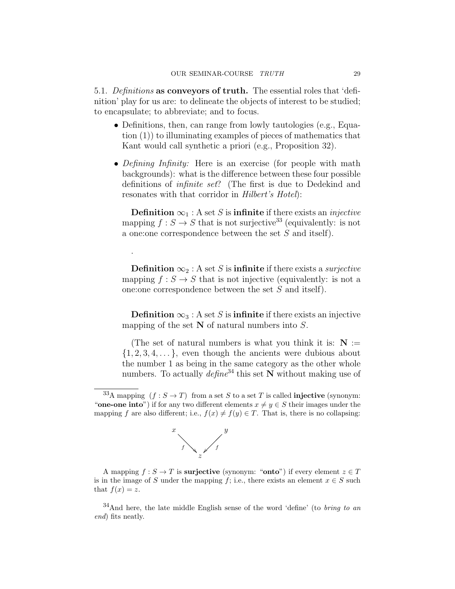5.1. Definitions as conveyors of truth. The essential roles that 'definition' play for us are: to delineate the objects of interest to be studied; to encapsulate; to abbreviate; and to focus.

- Definitions, then, can range from lowly tautologies (e.g., Equation (1)) to illuminating examples of pieces of mathematics that Kant would call synthetic a priori (e.g., Proposition 32).
- Defining Infinity: Here is an exercise (for people with math backgrounds): what is the difference between these four possible definitions of infinite set? (The first is due to Dedekind and resonates with that corridor in Hilbert's Hotel):

**Definition**  $\infty_1$ : A set S is **infinite** if there exists an *injective* mapping  $f : S \to S$  that is not surjective<sup>33</sup> (equivalently: is not a one:one correspondence between the set S and itself).

**Definition**  $\infty_2$ : A set S is **infinite** if there exists a *surjective* mapping  $f : S \to S$  that is not injective (equivalently: is not a one:one correspondence between the set S and itself).

**Definition**  $\infty_3$ : A set S is **infinite** if there exists an injective mapping of the set  $N$  of natural numbers into  $S$ .

(The set of natural numbers is what you think it is:  $N :=$  $\{1, 2, 3, 4, \ldots\}$ , even though the ancients were dubious about the number 1 as being in the same category as the other whole numbers. To actually  $\det^3$  this set  $\tilde{\bf N}$  without making use of

<sup>&</sup>lt;sup>33</sup>A mapping  $(f : S \to T)$  from a set S to a set T is called **injective** (synonym: "one-one into") if for any two different elements  $x \neq y \in S$  their images under the mapping f are also different; i.e.,  $f(x) \neq f(y) \in T$ . That is, there is no collapsing:



.

A mapping  $f : S \to T$  is **surjective** (synonym: "**onto**") if every element  $z \in T$ is in the image of S under the mapping f; i.e., there exists an element  $x \in S$  such that  $f(x) = z$ .

 $34$ And here, the late middle English sense of the word 'define' (to *bring to an*) end) fits neatly.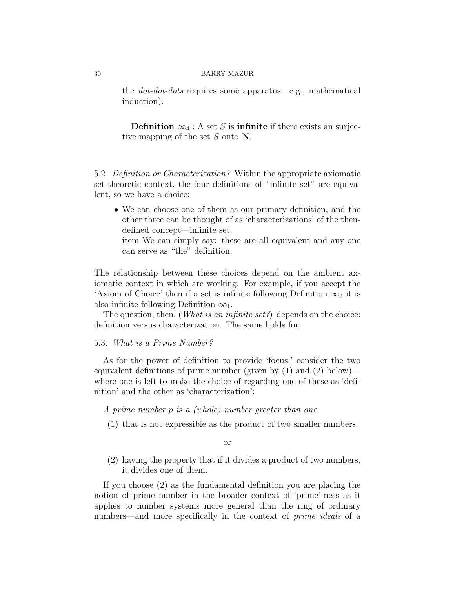the dot-dot-dots requires some apparatus—e.g., mathematical induction).

Definition  $\infty_4$ : A set S is infinite if there exists an surjective mapping of the set S onto N.

5.2. Definition or Characterization? Within the appropriate axiomatic set-theoretic context, the four definitions of "infinite set" are equivalent, so we have a choice:

• We can choose one of them as our primary definition, and the other three can be thought of as 'characterizations' of the thendefined concept—infinite set.

item We can simply say: these are all equivalent and any one can serve as "the" definition.

The relationship between these choices depend on the ambient axiomatic context in which are working. For example, if you accept the 'Axiom of Choice' then if a set is infinite following Definition  $\infty_2$  it is also infinite following Definition  $\infty_1$ .

The question, then, (*What is an infinite set?*) depends on the choice: definition versus characterization. The same holds for:

## 5.3. What is a Prime Number?

As for the power of definition to provide 'focus,' consider the two equivalent definitions of prime number (given by (1) and (2) below) where one is left to make the choice of regarding one of these as 'definition' and the other as 'characterization':

A prime number p is a (whole) number greater than one

(1) that is not expressible as the product of two smaller numbers.

or

(2) having the property that if it divides a product of two numbers, it divides one of them.

If you choose (2) as the fundamental definition you are placing the notion of prime number in the broader context of 'prime'-ness as it applies to number systems more general than the ring of ordinary numbers—and more specifically in the context of prime ideals of a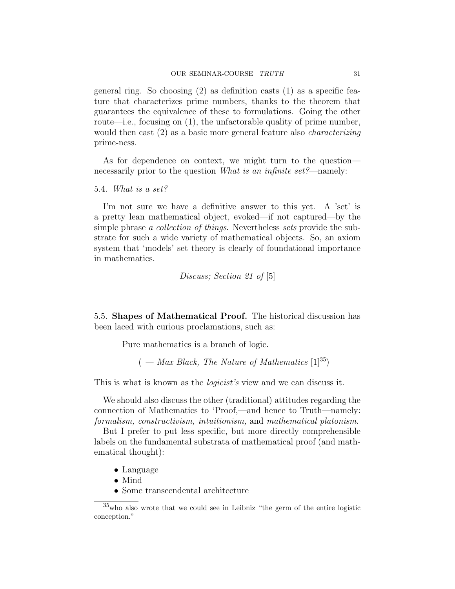general ring. So choosing (2) as definition casts (1) as a specific feature that characterizes prime numbers, thanks to the theorem that guarantees the equivalence of these to formulations. Going the other route—i.e., focusing on (1), the unfactorable quality of prime number, would then cast (2) as a basic more general feature also *characterizing* prime-ness.

As for dependence on context, we might turn to the question necessarily prior to the question What is an infinite set?—namely:

5.4. What is a set?

I'm not sure we have a definitive answer to this yet. A 'set' is a pretty lean mathematical object, evoked—if not captured—by the simple phrase a collection of things. Nevertheless sets provide the substrate for such a wide variety of mathematical objects. So, an axiom system that 'models' set theory is clearly of foundational importance in mathematics.

Discuss; Section 21 of [5]

5.5. Shapes of Mathematical Proof. The historical discussion has been laced with curious proclamations, such as:

Pure mathematics is a branch of logic.

 $($  — Max Black, The Nature of Mathematics [1]<sup>35</sup>)

This is what is known as the *logicist's* view and we can discuss it.

We should also discuss the other (traditional) attitudes regarding the connection of Mathematics to 'Proof,—and hence to Truth—namely: formalism, constructivism, intuitionism, and mathematical platonism.

But I prefer to put less specific, but more directly comprehensible labels on the fundamental substrata of mathematical proof (and mathematical thought):

- Language
- Mind
- Some transcendental architecture

<sup>35</sup>who also wrote that we could see in Leibniz "the germ of the entire logistic conception."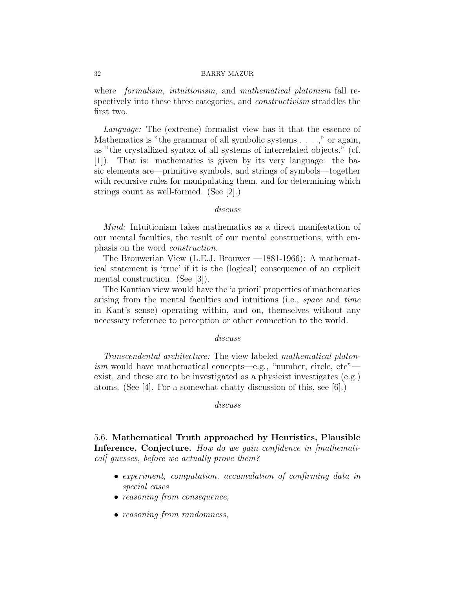where *formalism*, *intuitionism*, and *mathematical platonism* fall respectively into these three categories, and *constructivism* straddles the first two.

Language: The (extreme) formalist view has it that the essence of Mathematics is "the grammar of all symbolic systems . . . ," or again, as "the crystallized syntax of all systems of interrelated objects." (cf. [1]). That is: mathematics is given by its very language: the basic elements are—primitive symbols, and strings of symbols—together with recursive rules for manipulating them, and for determining which strings count as well-formed. (See [2].)

#### discuss

Mind: Intuitionism takes mathematics as a direct manifestation of our mental faculties, the result of our mental constructions, with emphasis on the word construction.

The Brouwerian View (L.E.J. Brouwer —1881-1966): A mathematical statement is 'true' if it is the (logical) consequence of an explicit mental construction. (See [3]).

The Kantian view would have the 'a priori' properties of mathematics arising from the mental faculties and intuitions (i.e., space and time in Kant's sense) operating within, and on, themselves without any necessary reference to perception or other connection to the world.

#### discuss

Transcendental architecture: The view labeled mathematical platonism would have mathematical concepts—e.g., "number, circle, etc" exist, and these are to be investigated as a physicist investigates  $(e.g.)$ atoms. (See [4]. For a somewhat chatty discussion of this, see [6].)

### discuss

5.6. Mathematical Truth approached by Heuristics, Plausible Inference, Conjecture. How do we gain confidence in  $\hat{m}$  mathematicall quesses, before we actually prove them?

- experiment, computation, accumulation of confirming data in special cases
- reasoning from consequence,
- reasoning from randomness,